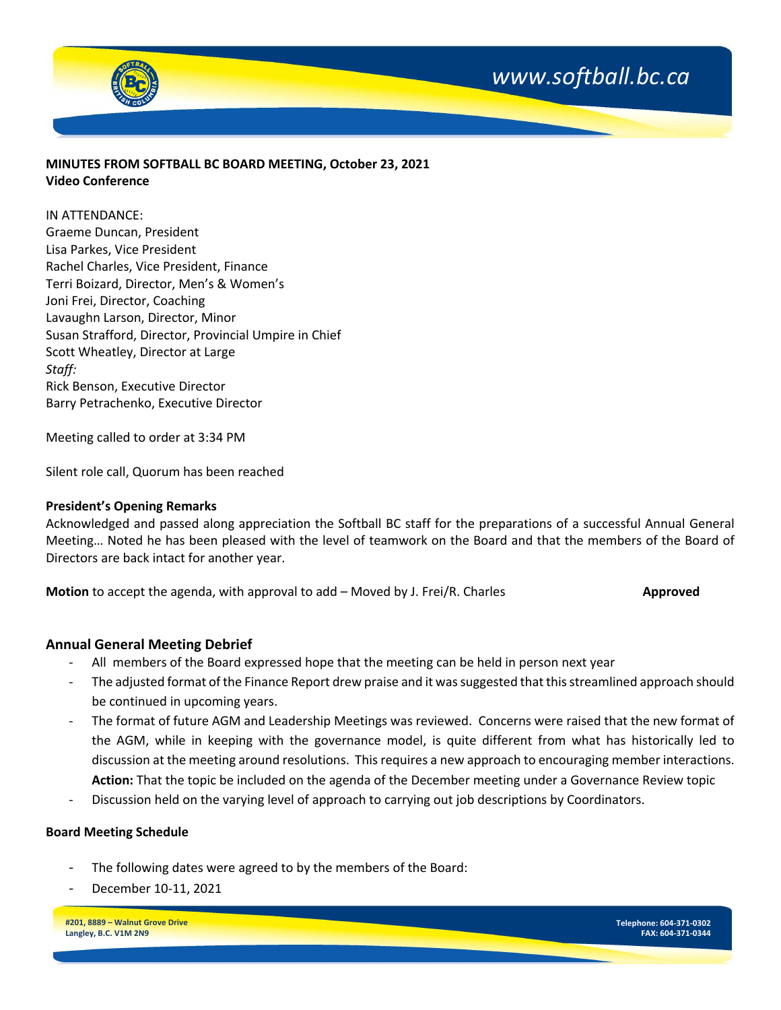



# **MINUTES FROM SOFTBALL BC BOARD MEETING, October 23, 2021 Video Conference**

IN ATTENDANCE:

Graeme Duncan, President Lisa Parkes, Vice President Rachel Charles, Vice President, Finance Terri Boizard, Director, Men's & Women's Joni Frei, Director, Coaching Lavaughn Larson, Director, Minor Susan Strafford, Director, Provincial Umpire in Chief Scott Wheatley, Director at Large *Staff:* Rick Benson, Executive Director Barry Petrachenko, Executive Director

Meeting called to order at 3:34 PM

Silent role call, Quorum has been reached

#### **President's Opening Remarks**

Acknowledged and passed along appreciation the Softball BC staff for the preparations of a successful Annual General Meeting… Noted he has been pleased with the level of teamwork on the Board and that the members of the Board of Directors are back intact for another year.

**Motion** to accept the agenda, with approval to add – Moved by J. Frei/R. Charles **Allection Approved** 

## **Annual General Meeting Debrief**

- All members of the Board expressed hope that the meeting can be held in person next year
- The adjusted format of the Finance Report drew praise and it was suggested that this streamlined approach should be continued in upcoming years.
- The format of future AGM and Leadership Meetings was reviewed. Concerns were raised that the new format of the AGM, while in keeping with the governance model, is quite different from what has historically led to discussion at the meeting around resolutions. This requires a new approach to encouraging member interactions. **Action:** That the topic be included on the agenda of the December meeting under a Governance Review topic
- Discussion held on the varying level of approach to carrying out job descriptions by Coordinators.

## **Board Meeting Schedule**

- The following dates were agreed to by the members of the Board:
- December 10-11, 2021

**#201, 8889 – Walnut Grove Drive Langley, B.C. V1M 2N9**